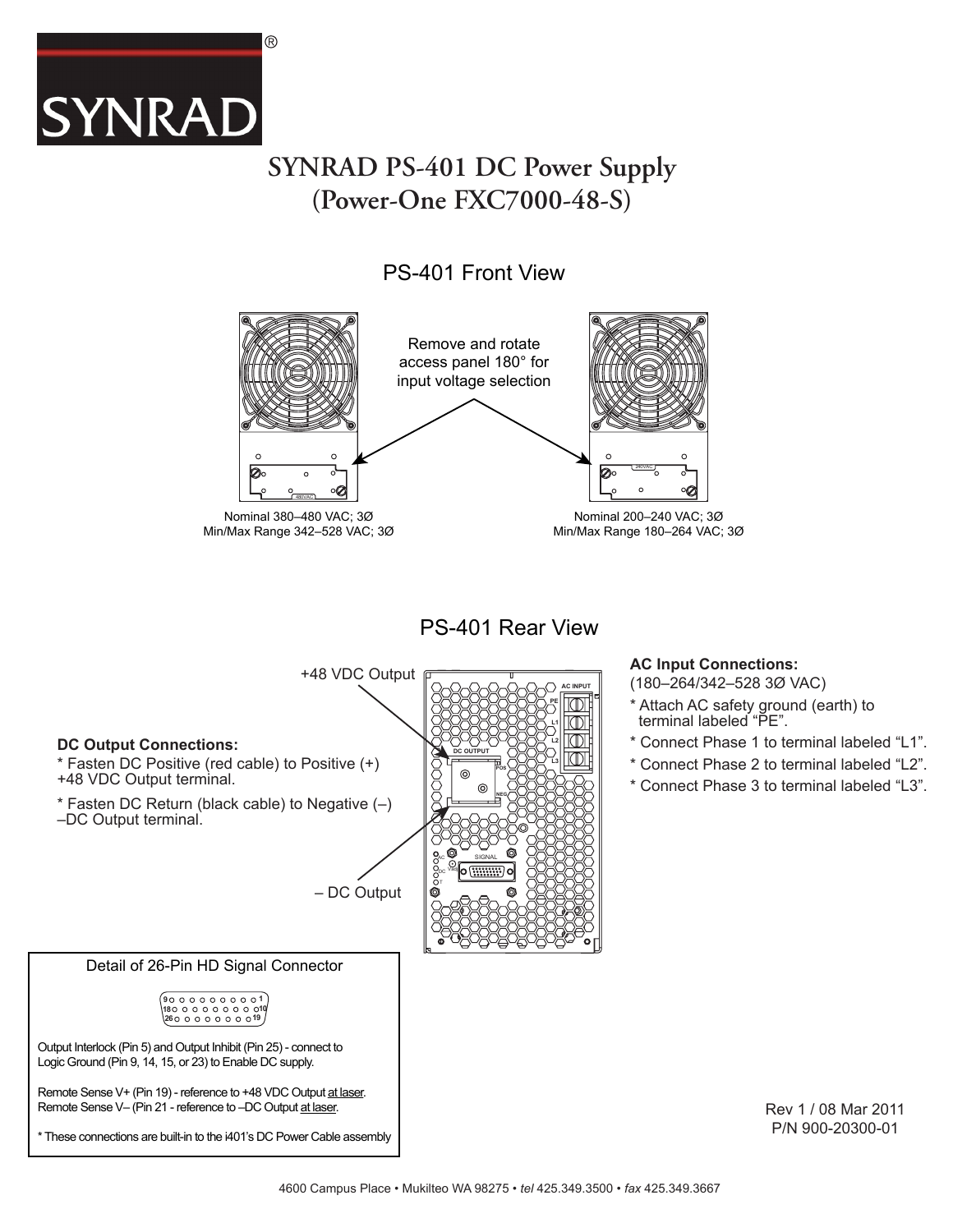

## **SYNRAD PS-401 DC Power Supply (Power-One FXC7000-48-S)**

### PS-401 Front View



PS-401 Rear View

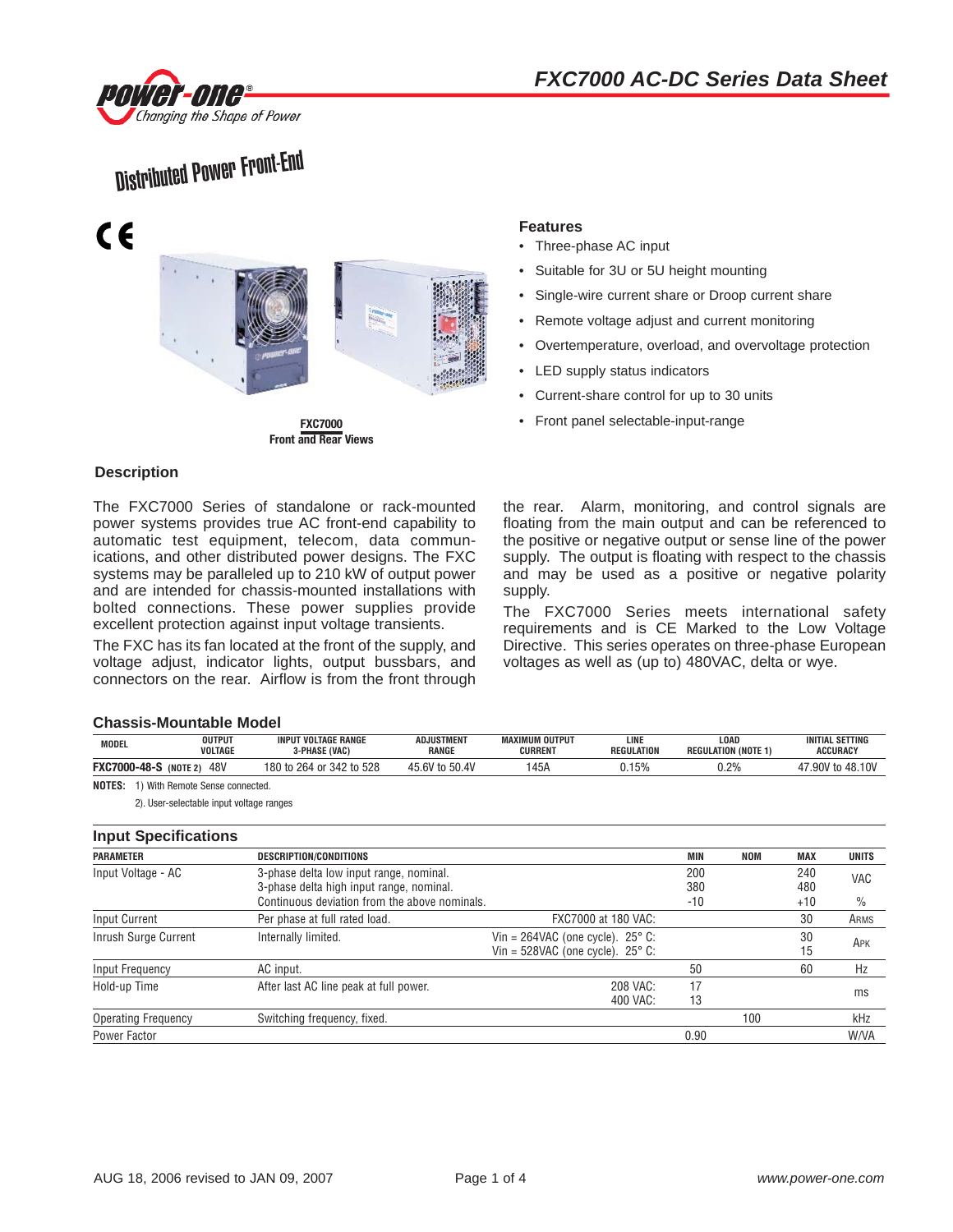



# Distributed Power Front-End



**Front and Rear Views**

#### **Description**

The FXC7000 Series of standalone or rack-mounted power systems provides true AC front-end capability to automatic test equipment, telecom, data communications, and other distributed power designs. The FXC systems may be paralleled up to 210 kW of output power and are intended for chassis-mounted installations with bolted connections. These power supplies provide excellent protection against input voltage transients.

The FXC has its fan located at the front of the supply, and voltage adjust, indicator lights, output bussbars, and connectors on the rear. Airflow is from the front through

#### **Features**

- Three-phase AC input
- Suitable for 3U or 5U height mounting
- Single-wire current share or Droop current share
- Remote voltage adjust and current monitoring
- Overtemperature, overload, and overvoltage protection
- LED supply status indicators
- Current-share control for up to 30 units
- **FXC7000** Front panel selectable-input-range

the rear. Alarm, monitoring, and control signals are floating from the main output and can be referenced to the positive or negative output or sense line of the power supply. The output is floating with respect to the chassis and may be used as a positive or negative polarity supply.

The FXC7000 Series meets international safety requirements and is CE Marked to the Low Voltage Directive. This series operates on three-phase European voltages as well as (up to) 480VAC, delta or wye.

#### **Chassis-Mountable Model**

| <b>MODEL</b>                                     | <b>OUTPUT</b><br><b>VOLTAGE</b> | <b>INPUT VOLTAGE RANGE</b><br>3-PHASE (VAC) | <b>ADJUSTMENT</b><br>RANGE | <b>MAXIMUM OUTPUT</b><br><b>CURRENT</b> | LINE<br>REGULATION | LOAD<br><b>REGULATION (NOTE 1)</b> | <b>INITIAL SETTING</b><br>ACCURACY |  |  |
|--------------------------------------------------|---------------------------------|---------------------------------------------|----------------------------|-----------------------------------------|--------------------|------------------------------------|------------------------------------|--|--|
| <b>FXC7000-48-S</b>                              | 48V<br>(NOTE 2)                 | 180 to 264 or 342 to 528                    | 45.6V to 50.4V             | 145A                                    | 15%                | $0.2\%$                            | 17.90V to 48.10V<br>47             |  |  |
| <b>NOTES:</b><br>.) With Remote Sense connected. |                                 |                                             |                            |                                         |                    |                                    |                                    |  |  |

2). User-selectable input voltage ranges

#### **Input Specifications**

| <b>Iliput Opeenivations</b> |                                               |                                              |       |            |            |              |
|-----------------------------|-----------------------------------------------|----------------------------------------------|-------|------------|------------|--------------|
| <b>PARAMETER</b>            | DESCRIPTION/CONDITIONS                        |                                              | MIN   | <b>NOM</b> | <b>MAX</b> | <b>UNITS</b> |
| Input Voltage - AC          | 3-phase delta low input range, nominal.       |                                              | 200   |            | 240        | VAC          |
|                             | 3-phase delta high input range, nominal.      |                                              | 380   |            | 480        |              |
|                             | Continuous deviation from the above nominals. |                                              | $-10$ |            | $+10$      | $\%$         |
| Input Current               | Per phase at full rated load.                 | FXC7000 at 180 VAC:                          |       |            | 30         | ARMS         |
| Inrush Surge Current        | Internally limited.                           | Vin = $264$ VAC (one cycle). $25^{\circ}$ C: |       |            | 30         | APK          |
|                             |                                               | Vin = $528$ VAC (one cycle). $25^{\circ}$ C: |       |            | 15         |              |
| Input Frequency             | AC input.                                     |                                              | 50    |            | 60         | Hz           |
| Hold-up Time                | After last AC line peak at full power.        | 208 VAC:                                     | 17    |            |            |              |
|                             |                                               | 400 VAC:                                     | 13    |            |            | ms           |
| <b>Operating Frequency</b>  | Switching frequency, fixed.                   |                                              |       | 100        |            | kHz          |
| Power Factor                |                                               |                                              | 0.90  |            |            | <b>W/VA</b>  |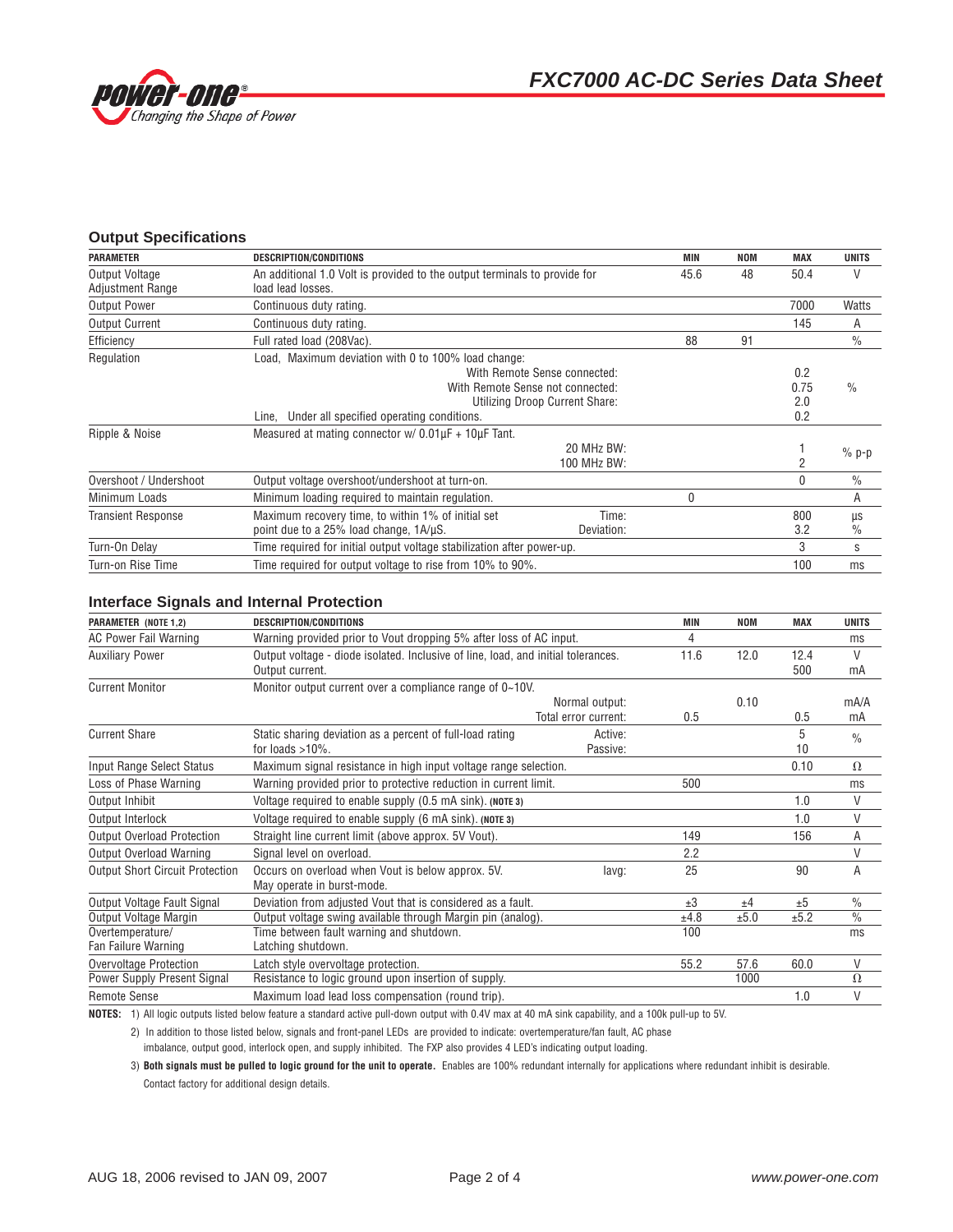

#### **Output Specifications**

| <b>PARAMETER</b>                                 | <b>DESCRIPTION/CONDITIONS</b>                                                                                                              |                                                                | <b>MIN</b> | <b>NOM</b> | <b>MAX</b>                | <b>UNITS</b>  |
|--------------------------------------------------|--------------------------------------------------------------------------------------------------------------------------------------------|----------------------------------------------------------------|------------|------------|---------------------------|---------------|
| <b>Output Voltage</b><br><b>Adjustment Range</b> | An additional 1.0 Volt is provided to the output terminals to provide for<br>load lead losses.                                             |                                                                | 45.6       | 48         | 50.4                      | V             |
| <b>Output Power</b>                              | Continuous duty rating.                                                                                                                    |                                                                |            |            | 7000                      | Watts         |
| <b>Output Current</b>                            | Continuous duty rating.                                                                                                                    |                                                                |            |            | 145                       | A             |
| Efficiency                                       | Full rated load (208Vac).                                                                                                                  |                                                                | 88         | 91         |                           | $\frac{0}{0}$ |
| Regulation                                       | Load, Maximum deviation with 0 to 100% load change:<br>With Remote Sense not connected:<br>Line, Under all specified operating conditions. | With Remote Sense connected:<br>Utilizing Droop Current Share: |            |            | 0.2<br>0.75<br>2.0<br>0.2 | $\frac{0}{0}$ |
| Ripple & Noise                                   | Measured at mating connector $w/$ 0.01 $\mu$ F + 10 $\mu$ F Tant.                                                                          | 20 MHz BW:<br>100 MHz BW:                                      |            |            |                           | $%$ p-p       |
| Overshoot / Undershoot                           | Output voltage overshoot/undershoot at turn-on.                                                                                            |                                                                |            |            | $\Omega$                  | $\%$          |
| Minimum Loads                                    | Minimum loading required to maintain regulation.                                                                                           |                                                                | U          |            |                           | A             |
| <b>Transient Response</b>                        | Maximum recovery time, to within 1% of initial set<br>point due to a 25% load change, 1A/µS.                                               | Time:<br>Deviation:                                            |            |            | 800<br>3.2                | μs<br>$\%$    |
| Turn-On Delay                                    | Time required for initial output voltage stabilization after power-up.                                                                     |                                                                |            |            | 3                         | S             |
| Turn-on Rise Time                                | Time required for output voltage to rise from 10% to 90%.                                                                                  |                                                                |            |            | 100                       | ms            |

#### **Interface Signals and Internal Protection**

| PARAMETER (NOTE 1,2)                    | DESCRIPTION/CONDITIONS                                                                               |                                        | MIN     | <b>NOM</b> | <b>MAX</b>  | <b>UNITS</b>   |
|-----------------------------------------|------------------------------------------------------------------------------------------------------|----------------------------------------|---------|------------|-------------|----------------|
| <b>AC Power Fail Warning</b>            | Warning provided prior to Vout dropping 5% after loss of AC input.                                   | 4                                      |         |            | ms          |                |
| <b>Auxiliary Power</b>                  | Output voltage - diode isolated. Inclusive of line, load, and initial tolerances.<br>Output current. |                                        | 11.6    | 12.0       | 12.4<br>500 | $\vee$<br>mA   |
| <b>Current Monitor</b>                  | Monitor output current over a compliance range of 0~10V.                                             |                                        |         |            |             |                |
|                                         |                                                                                                      | Normal output:<br>Total error current: | 0.5     | 0.10       | 0.5         | mA/A<br>mA     |
| <b>Current Share</b>                    | Static sharing deviation as a percent of full-load rating<br>for loads $>10\%$ .                     | Active:<br>Passive:                    |         |            | 5<br>10     | $\frac{0}{n}$  |
| Input Range Select Status               | Maximum signal resistance in high input voltage range selection.                                     |                                        |         |            | 0.10        | $\Omega$       |
| Loss of Phase Warning                   | Warning provided prior to protective reduction in current limit.                                     |                                        | 500     |            |             | ms             |
| Output Inhibit                          | Voltage required to enable supply (0.5 mA sink). (NOTE 3)                                            |                                        |         |            | 1.0         | V              |
| Output Interlock                        | Voltage required to enable supply (6 mA sink). (NOTE 3)                                              |                                        |         |            | 1.0         | V              |
| <b>Output Overload Protection</b>       | Straight line current limit (above approx. 5V Vout).                                                 |                                        | 149     |            | 156         | A              |
| Output Overload Warning                 | Signal level on overload.                                                                            |                                        | 2.2     |            |             | $\vee$         |
| <b>Output Short Circuit Protection</b>  | Occurs on overload when Vout is below approx. 5V.<br>May operate in burst-mode.                      | lavg:                                  | 25      |            | 90          | $\overline{A}$ |
| Output Voltage Fault Signal             | Deviation from adjusted Vout that is considered as a fault.                                          |                                        | $\pm 3$ | ±4         | ±5          | $\frac{0}{0}$  |
| Output Voltage Margin                   | Output voltage swing available through Margin pin (analog).                                          |                                        | ±4.8    | ±5.0       | ±5.2        | $\frac{0}{0}$  |
| Overtemperature/<br>Fan Failure Warning | Time between fault warning and shutdown.<br>Latching shutdown.                                       |                                        | 100     |            |             | ms             |
| Overvoltage Protection                  | Latch style overvoltage protection.                                                                  |                                        | 55.2    | 57.6       | 60.0        | $\vee$         |
| Power Supply Present Signal             | Resistance to logic ground upon insertion of supply.                                                 |                                        |         | 1000       |             | $\Omega$       |
| <b>Remote Sense</b>                     | Maximum load lead loss compensation (round trip).                                                    |                                        |         |            | 1.0         | $\vee$         |

**NOTES:** 1) All logic outputs listed below feature a standard active pull-down output with 0.4V max at 40 mA sink capability, and a 100k pull-up to 5V.

2) In addition to those listed below, signals and front-panel LEDs are provided to indicate: overtemperature/fan fault, AC phase

imbalance, output good, interlock open, and supply inhibited. The FXP also provides 4 LED's indicating output loading.

3) **Both signals must be pulled to logic ground for the unit to operate.** Enables are 100% redundant internally for applications where redundant inhibit is desirable. Contact factory for additional design details.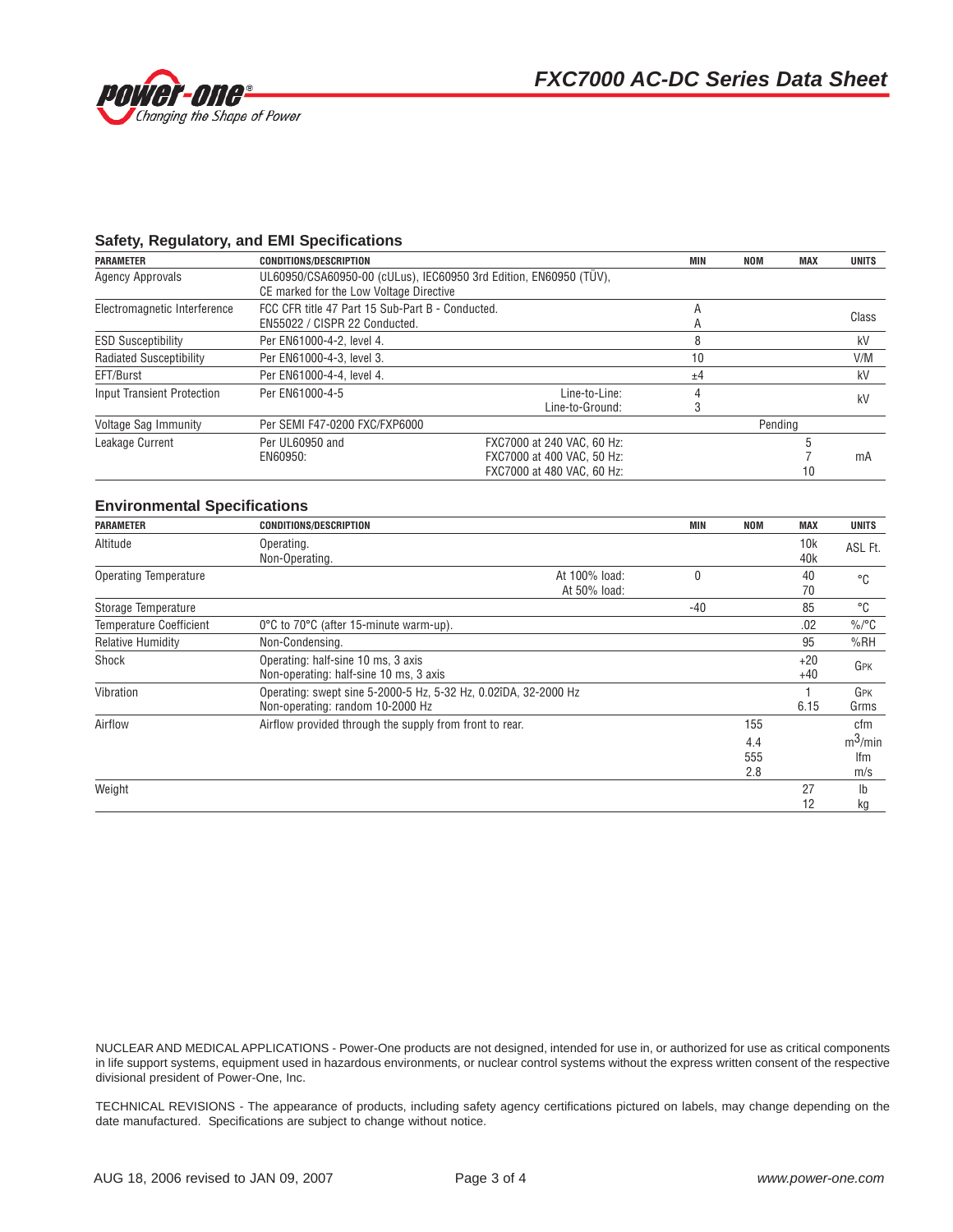

#### **Safety, Regulatory, and EMI Specifications**

| <b>PARAMETER</b>                  | <b>CONDITIONS/DESCRIPTION</b>                                                                                |                                                                                        | MIN | <b>NOM</b> | <b>MAX</b> | <b>UNITS</b> |
|-----------------------------------|--------------------------------------------------------------------------------------------------------------|----------------------------------------------------------------------------------------|-----|------------|------------|--------------|
| <b>Agency Approvals</b>           | UL60950/CSA60950-00 (cULus), IEC60950 3rd Edition, EN60950 (TÜV),<br>CE marked for the Low Voltage Directive |                                                                                        |     |            |            |              |
| Electromagnetic Interference      | FCC CFR title 47 Part 15 Sub-Part B - Conducted.<br>EN55022 / CISPR 22 Conducted.                            |                                                                                        | A   |            |            | Class        |
| <b>ESD Susceptibility</b>         | Per EN61000-4-2, level 4.                                                                                    |                                                                                        |     |            |            | kV           |
| <b>Radiated Susceptibility</b>    | Per EN61000-4-3, level 3.                                                                                    |                                                                                        |     |            |            | V/M          |
| EFT/Burst                         | Per EN61000-4-4, level 4.                                                                                    |                                                                                        | ±4  |            |            | kV           |
| <b>Input Transient Protection</b> | Per EN61000-4-5                                                                                              | Line-to-Line:<br>Line-to-Ground:                                                       |     |            |            | kV           |
| Voltage Sag Immunity              | Per SEMI F47-0200 FXC/FXP6000                                                                                |                                                                                        |     | Pending    |            |              |
| Leakage Current                   | Per UL60950 and<br>EN60950:                                                                                  | FXC7000 at 240 VAC, 60 Hz:<br>FXC7000 at 400 VAC, 50 Hz:<br>FXC7000 at 480 VAC, 60 Hz: |     |            | 10         | mA           |

#### **Environmental Specifications**

| <b>PARAMETER</b>               | <b>CONDITIONS/DESCRIPTION</b>                                                                       |                               | MIN | <b>NOM</b>        | <b>MAX</b>     | <b>UNITS</b>             |
|--------------------------------|-----------------------------------------------------------------------------------------------------|-------------------------------|-----|-------------------|----------------|--------------------------|
| Altitude                       | Operating.<br>Non-Operating.                                                                        |                               |     |                   | 10k<br>40k     | ASL Ft.                  |
| Operating Temperature          |                                                                                                     | At 100% load:<br>At 50% load: |     |                   | 40<br>70       | °C                       |
| Storage Temperature            |                                                                                                     |                               | -40 |                   | 85             | °C                       |
| <b>Temperature Coefficient</b> | 0°C to 70°C (after 15-minute warm-up).                                                              |                               |     |                   | .02            | $\%$ /°C                 |
| <b>Relative Humidity</b>       | Non-Condensing.                                                                                     |                               |     |                   | 95             | %RH                      |
| Shock                          | Operating: half-sine 10 ms, 3 axis<br>Non-operating: half-sine 10 ms, 3 axis                        |                               |     |                   | $+20$<br>$+40$ | GPK                      |
| Vibration                      | Operating: swept sine 5-2000-5 Hz, 5-32 Hz, 0.02îDA, 32-2000 Hz<br>Non-operating: random 10-2000 Hz |                               |     |                   | 6.15           | GPK<br>Grms              |
| Airflow                        | Airflow provided through the supply from front to rear.                                             |                               |     | 155               |                | cfm                      |
|                                |                                                                                                     |                               |     | 4.4<br>555<br>2.8 |                | $m^3$ /min<br>lfm<br>m/s |
| Weight                         |                                                                                                     |                               |     |                   | 27<br>12       | $\mathsf{lb}$<br>kg      |

NUCLEAR AND MEDICAL APPLICATIONS - Power-One products are not designed, intended for use in, or authorized for use as critical components in life support systems, equipment used in hazardous environments, or nuclear control systems without the express written consent of the respective divisional president of Power-One, Inc.

TECHNICAL REVISIONS - The appearance of products, including safety agency certifications pictured on labels, may change depending on the date manufactured. Specifications are subject to change without notice.